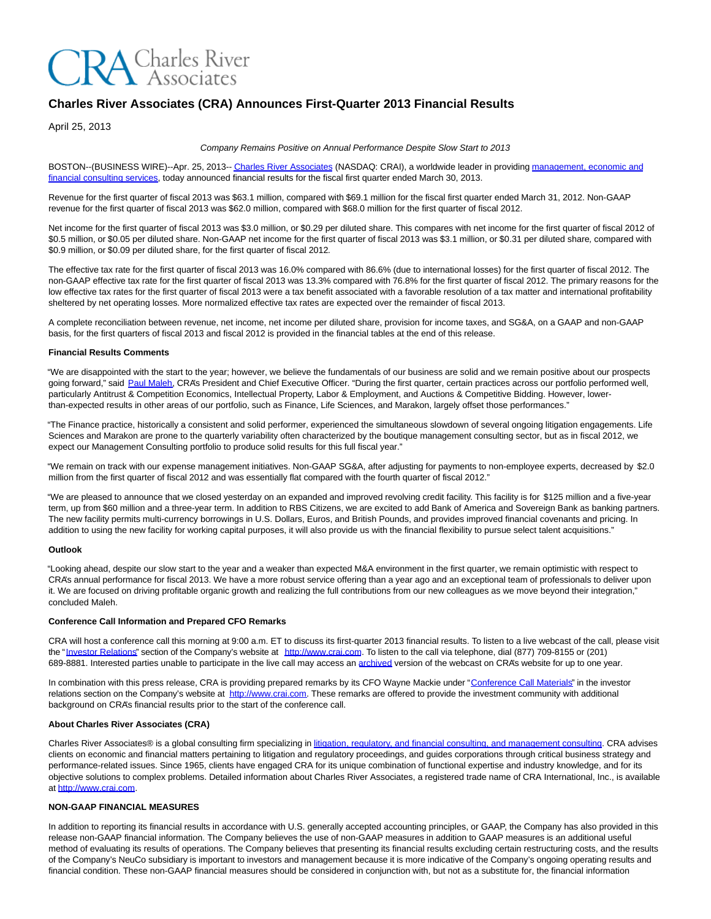# **CRA** Charles River

# **Charles River Associates (CRA) Announces First-Quarter 2013 Financial Results**

April 25, 2013

#### Company Remains Positive on Annual Performance Despite Slow Start to 2013

BOSTON--(BUSINESS WIRE)--Apr. 25, 2013-- [Charles River Associates \(](http://cts.businesswire.com/ct/CT?id=smartlink&url=http%3A%2F%2Fwww.crai.com%2FDefault.aspx&esheet=50617795&lan=en-US&anchor=Charles+River+Associates&index=1&md5=25f5811f900d39e00b19105dfd4a7aae)NASDAQ: CRAI), a worldwide leader in providin[g management, economic and](http://cts.businesswire.com/ct/CT?id=smartlink&url=http%3A%2F%2Fwww.crai.com%2FConsultingExpertise%2FDefaultCustom.aspx&esheet=50617795&lan=en-US&anchor=management%2C+economic+and+financial+consulting+services&index=2&md5=57bd2ab2df543c07675ede91fb925252) financial consulting services, today announced financial results for the fiscal first quarter ended March 30, 2013.

Revenue for the first quarter of fiscal 2013 was \$63.1 million, compared with \$69.1 million for the fiscal first quarter ended March 31, 2012. Non-GAAP revenue for the first quarter of fiscal 2013 was \$62.0 million, compared with \$68.0 million for the first quarter of fiscal 2012.

Net income for the first quarter of fiscal 2013 was \$3.0 million, or \$0.29 per diluted share. This compares with net income for the first quarter of fiscal 2012 of \$0.5 million, or \$0.05 per diluted share. Non-GAAP net income for the first quarter of fiscal 2013 was \$3.1 million, or \$0.31 per diluted share, compared with \$0.9 million, or \$0.09 per diluted share, for the first quarter of fiscal 2012.

The effective tax rate for the first quarter of fiscal 2013 was 16.0% compared with 86.6% (due to international losses) for the first quarter of fiscal 2012. The non-GAAP effective tax rate for the first quarter of fiscal 2013 was 13.3% compared with 76.8% for the first quarter of fiscal 2012. The primary reasons for the low effective tax rates for the first quarter of fiscal 2013 were a tax benefit associated with a favorable resolution of a tax matter and international profitability sheltered by net operating losses. More normalized effective tax rates are expected over the remainder of fiscal 2013.

A complete reconciliation between revenue, net income, net income per diluted share, provision for income taxes, and SG&A, on a GAAP and non-GAAP basis, for the first quarters of fiscal 2013 and fiscal 2012 is provided in the financial tables at the end of this release.

#### **Financial Results Comments**

"We are disappointed with the start to the year; however, we believe the fundamentals of our business are solid and we remain positive about our prospects going forward," said [Paul Maleh,](http://cts.businesswire.com/ct/CT?id=smartlink&url=http%3A%2F%2Fwww.crai.com%2FProfessionalStaff%2Flistingdetails.aspx%3Fid%3D2580&esheet=50617795&lan=en-US&anchor=Paul+Maleh&index=3&md5=65da46482a8a66078880dd8118ebfcf0) CRA's President and Chief Executive Officer. "During the first quarter, certain practices across our portfolio performed well, particularly Antitrust & Competition Economics, Intellectual Property, Labor & Employment, and Auctions & Competitive Bidding. However, lowerthan-expected results in other areas of our portfolio, such as Finance, Life Sciences, and Marakon, largely offset those performances."

"The Finance practice, historically a consistent and solid performer, experienced the simultaneous slowdown of several ongoing litigation engagements. Life Sciences and Marakon are prone to the quarterly variability often characterized by the boutique management consulting sector, but as in fiscal 2012, we expect our Management Consulting portfolio to produce solid results for this full fiscal year."

"We remain on track with our expense management initiatives. Non-GAAP SG&A, after adjusting for payments to non-employee experts, decreased by \$2.0 million from the first quarter of fiscal 2012 and was essentially flat compared with the fourth quarter of fiscal 2012."

"We are pleased to announce that we closed yesterday on an expanded and improved revolving credit facility. This facility is for \$125 million and a five-year term, up from \$60 million and a three-year term. In addition to RBS Citizens, we are excited to add Bank of America and Sovereign Bank as banking partners. The new facility permits multi-currency borrowings in U.S. Dollars, Euros, and British Pounds, and provides improved financial covenants and pricing. In addition to using the new facility for working capital purposes, it will also provide us with the financial flexibility to pursue select talent acquisitions."

#### **Outlook**

"Looking ahead, despite our slow start to the year and a weaker than expected M&A environment in the first quarter, we remain optimistic with respect to CRA's annual performance for fiscal 2013. We have a more robust service offering than a year ago and an exceptional team of professionals to deliver upon it. We are focused on driving profitable organic growth and realizing the full contributions from our new colleagues as we move beyond their integration," concluded Maleh.

#### **Conference Call Information and Prepared CFO Remarks**

CRA will host a conference call this morning at 9:00 a.m. ET to discuss its first-quarter 2013 financial results. To listen to a live webcast of the call, please visit the ["Investor Relations"](http://cts.businesswire.com/ct/CT?id=smartlink&url=http%3A%2F%2Fphx.corporate-ir.net%2Fphoenix.zhtml%3Fc%3D97435%26p%3Dirol-IRHome&esheet=50617795&lan=en-US&anchor=Investor+Relations&index=4&md5=cd0e2dc72d1c6a995c315038cedfb873) section of the Company's website at [http://www.crai.com.](http://cts.businesswire.com/ct/CT?id=smartlink&url=http%3A%2F%2Fwww.crai.com%2FDefault.aspx&esheet=50617795&lan=en-US&anchor=http%3A%2F%2Fwww.crai.com&index=5&md5=f2df6414e157744ba991f23b1349d17f) To listen to the call via telephone, dial (877) 709-8155 or (201) 689-8881. Interested parties unable to participate in the live call may access an [archived v](http://cts.businesswire.com/ct/CT?id=smartlink&url=http%3A%2F%2Fphx.corporate-ir.net%2Fphoenix.zhtml%3Fc%3D97435%26p%3Dirol-audioarchives&esheet=50617795&lan=en-US&anchor=archived&index=6&md5=ab58a4b2cb7f6e93c6ac6b696826416e)ersion of the webcast on CRA's website for up to one year.

In combination with this press release, CRA is providing prepared remarks by its CFO Wayne Mackie under ["Conference Call Materials"](http://cts.businesswire.com/ct/CT?id=smartlink&url=http%3A%2F%2Fphx.corporate-ir.net%2Fphoenix.zhtml%3Fc%3D97435%26p%3Dirol-presentations&esheet=50617795&lan=en-US&anchor=Conference+Call+Materials&index=7&md5=151cf70aab8b6a2655eea2be2f6bf3e3) in the investor relations section on the Company's website at [http://www.crai.com.](http://cts.businesswire.com/ct/CT?id=smartlink&url=http%3A%2F%2Fwww.crai.com%2FDefault.aspx&esheet=50617795&lan=en-US&anchor=http%3A%2F%2Fwww.crai.com&index=8&md5=4fc18464fdd24fef7eef1eb9e2a8c6b9) These remarks are offered to provide the investment community with additional background on CRA's financial results prior to the start of the conference call.

#### **About Charles River Associates (CRA)**

Charles River Associates® is a global consulting firm specializing i[n litigation, regulatory, and financial consulting, and management consulting.](http://cts.businesswire.com/ct/CT?id=smartlink&url=http%3A%2F%2Fwww.crai.com%2FConsultingExpertise%2FDefaultCustom.aspx&esheet=50617795&lan=en-US&anchor=litigation%2C+regulatory%2C+and+financial+consulting%2C+and+management+consulting&index=9&md5=74e1b5a0b931e2147f0aa59cc936e020) CRA advises clients on economic and financial matters pertaining to litigation and regulatory proceedings, and guides corporations through critical business strategy and performance-related issues. Since 1965, clients have engaged CRA for its unique combination of functional expertise and industry knowledge, and for its objective solutions to complex problems. Detailed information about Charles River Associates, a registered trade name of CRA International, Inc., is available a[t http://www.crai.com.](http://cts.businesswire.com/ct/CT?id=smartlink&url=http%3A%2F%2Fwww.crai.com%2FDefault.aspx&esheet=50617795&lan=en-US&anchor=http%3A%2F%2Fwww.crai.com&index=10&md5=9a95742c59db57639d5a51383a49fd1c)

#### **NON-GAAP FINANCIAL MEASURES**

In addition to reporting its financial results in accordance with U.S. generally accepted accounting principles, or GAAP, the Company has also provided in this release non-GAAP financial information. The Company believes the use of non-GAAP measures in addition to GAAP measures is an additional useful method of evaluating its results of operations. The Company believes that presenting its financial results excluding certain restructuring costs, and the results of the Company's NeuCo subsidiary is important to investors and management because it is more indicative of the Company's ongoing operating results and financial condition. These non-GAAP financial measures should be considered in conjunction with, but not as a substitute for, the financial information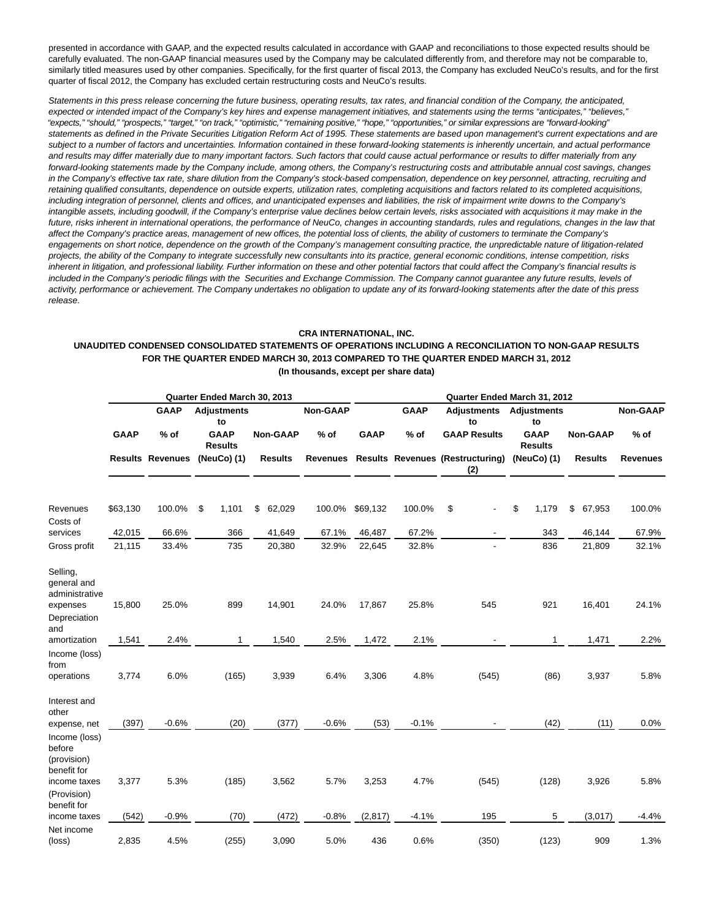presented in accordance with GAAP, and the expected results calculated in accordance with GAAP and reconciliations to those expected results should be carefully evaluated. The non-GAAP financial measures used by the Company may be calculated differently from, and therefore may not be comparable to, similarly titled measures used by other companies. Specifically, for the first quarter of fiscal 2013, the Company has excluded NeuCo's results, and for the first quarter of fiscal 2012, the Company has excluded certain restructuring costs and NeuCo's results.

Statements in this press release concerning the future business, operating results, tax rates, and financial condition of the Company, the anticipated, expected or intended impact of the Company's key hires and expense management initiatives, and statements using the terms "anticipates," "believes," "expects," "should," "prospects," "target," "on track," "optimistic," "remaining positive," "hope," "opportunities," or similar expressions are "forward-looking" statements as defined in the Private Securities Litigation Reform Act of 1995. These statements are based upon management's current expectations and are subject to a number of factors and uncertainties. Information contained in these forward-looking statements is inherently uncertain, and actual performance and results may differ materially due to many important factors. Such factors that could cause actual performance or results to differ materially from any forward-looking statements made by the Company include, among others, the Company's restructuring costs and attributable annual cost savings, changes in the Company's effective tax rate, share dilution from the Company's stock-based compensation, dependence on key personnel, attracting, recruiting and retaining qualified consultants, dependence on outside experts, utilization rates, completing acquisitions and factors related to its completed acquisitions, including integration of personnel, clients and offices, and unanticipated expenses and liabilities, the risk of impairment write downs to the Company's intangible assets, including goodwill, if the Company's enterprise value declines below certain levels, risks associated with acquisitions it may make in the future, risks inherent in international operations, the performance of NeuCo, changes in accounting standards, rules and regulations, changes in the law that affect the Company's practice areas, management of new offices, the potential loss of clients, the ability of customers to terminate the Company's engagements on short notice, dependence on the growth of the Company's management consulting practice, the unpredictable nature of litigation-related projects, the ability of the Company to integrate successfully new consultants into its practice, general economic conditions, intense competition, risks inherent in litigation, and professional liability. Further information on these and other potential factors that could affect the Company's financial results is included in the Company's periodic filings with the Securities and Exchange Commission. The Company cannot guarantee any future results, levels of activity, performance or achievement. The Company undertakes no obligation to update any of its forward-looking statements after the date of this press release.

#### **CRA INTERNATIONAL, INC.**

### **UNAUDITED CONDENSED CONSOLIDATED STATEMENTS OF OPERATIONS INCLUDING A RECONCILIATION TO NON-GAAP RESULTS FOR THE QUARTER ENDED MARCH 30, 2013 COMPARED TO THE QUARTER ENDED MARCH 31, 2012 (In thousands, except per share data)**

|                                                                                                                       | Quarter Ended March 30, 2013 |                         |                               |                 |                           |                   | Quarter Ended March 31, 2012 |                                                |                               |                  |                           |  |  |  |  |
|-----------------------------------------------------------------------------------------------------------------------|------------------------------|-------------------------|-------------------------------|-----------------|---------------------------|-------------------|------------------------------|------------------------------------------------|-------------------------------|------------------|---------------------------|--|--|--|--|
|                                                                                                                       |                              | <b>GAAP</b>             | <b>Adjustments</b><br>to      |                 | <b>Non-GAAP</b><br>$%$ of |                   | <b>GAAP</b>                  | <b>Adjustments</b> Adjustments<br>to           | to                            |                  | <b>Non-GAAP</b><br>$%$ of |  |  |  |  |
|                                                                                                                       | <b>GAAP</b>                  | $%$ of                  | <b>GAAP</b><br><b>Results</b> | <b>Non-GAAP</b> |                           | <b>GAAP</b>       | $%$ of                       | <b>GAAP Results</b>                            | <b>GAAP</b><br><b>Results</b> | <b>Non-GAAP</b>  |                           |  |  |  |  |
|                                                                                                                       |                              | <b>Results Revenues</b> | (NeuCo) (1)                   | <b>Results</b>  | <b>Revenues</b>           |                   |                              | <b>Results Revenues (Restructuring)</b><br>(2) | (NeuCo) (1)                   | <b>Results</b>   | <b>Revenues</b>           |  |  |  |  |
| Revenues                                                                                                              | \$63,130                     | 100.0%                  | \$<br>1,101                   | \$<br>62,029    | 100.0%                    | \$69,132          | 100.0%                       | \$                                             | \$<br>1,179                   | \$<br>67,953     | 100.0%                    |  |  |  |  |
| Costs of<br>services                                                                                                  | 42,015                       | 66.6%                   | 366                           | 41,649          | 67.1%                     | 46,487            | 67.2%                        | $\blacksquare$                                 | 343                           | 46,144           | 67.9%                     |  |  |  |  |
| Gross profit                                                                                                          | 21,115                       | 33.4%                   | 735                           | 20,380          | 32.9%                     | 22,645            | 32.8%                        |                                                | 836                           | 21,809           | 32.1%                     |  |  |  |  |
| Selling,<br>general and<br>administrative<br>expenses<br>Depreciation<br>and<br>amortization<br>Income (loss)<br>from | 15,800<br>1,541              | 25.0%<br>2.4%           | 899<br>$\mathbf{1}$           | 14,901<br>1,540 | 24.0%<br>2.5%             | 17,867<br>1,472   | 25.8%<br>2.1%                | 545                                            | 921<br>1                      | 16,401<br>1,471  | 24.1%<br>2.2%             |  |  |  |  |
| operations                                                                                                            | 3,774                        | 6.0%                    | (165)                         | 3,939           | 6.4%                      | 3,306             | 4.8%                         | (545)                                          | (86)                          | 3,937            | 5.8%                      |  |  |  |  |
| Interest and<br>other<br>expense, net<br>Income (loss)<br>before                                                      | (397)                        | $-0.6%$                 | (20)                          | (377)           | $-0.6%$                   | (53)              | $-0.1%$                      |                                                | (42)                          | (11)             | 0.0%                      |  |  |  |  |
| (provision)<br>benefit for<br>income taxes<br>(Provision)<br>benefit for<br>income taxes                              | 3,377<br>(542)               | 5.3%<br>$-0.9%$         | (185)<br>(70)                 | 3,562<br>(472)  | 5.7%<br>$-0.8%$           | 3,253<br>(2, 817) | 4.7%<br>$-4.1%$              | (545)<br>195                                   | (128)<br>5                    | 3,926<br>(3,017) | 5.8%<br>$-4.4%$           |  |  |  |  |
| Net income<br>(loss)                                                                                                  | 2,835                        | 4.5%                    | (255)                         | 3,090           | 5.0%                      | 436               | 0.6%                         | (350)                                          | (123)                         | 909              | 1.3%                      |  |  |  |  |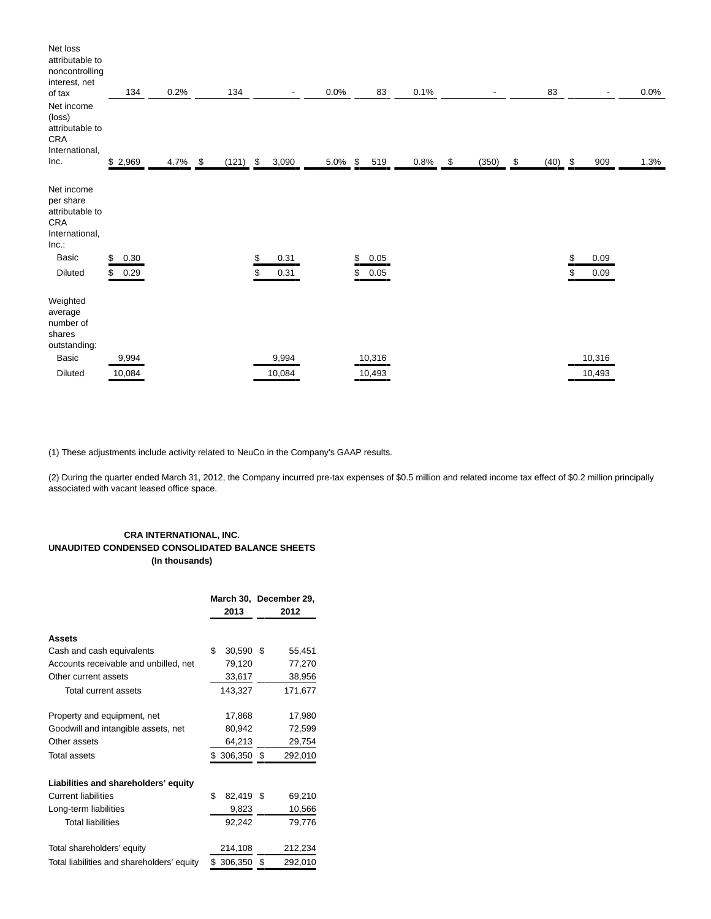| Net loss<br>attributable to<br>noncontrolling<br>interest, net<br>of tax           | 134        | 0.2%    | 134        | $\overline{\phantom{a}}$ | 0.0%    | 83         | 0.1% |            | $\overline{\phantom{a}}$ | 83              | $\overline{\phantom{a}}$ | 0.0% |
|------------------------------------------------------------------------------------|------------|---------|------------|--------------------------|---------|------------|------|------------|--------------------------|-----------------|--------------------------|------|
| Net income<br>(loss)<br>attributable to<br>CRA<br>International,<br>Inc.           | \$2,969    | 4.7% \$ | $(121)$ \$ | 3,090                    | 5.0% \$ | 519        | 0.8% | $\sqrt{3}$ | (350)                    | \$<br>$(40)$ \$ | 909                      | 1.3% |
| Net income<br>per share<br>attributable to<br><b>CRA</b><br>International,<br>Inc. |            |         |            |                          |         |            |      |            |                          |                 |                          |      |
| <b>Basic</b>                                                                       | 0.30<br>\$ |         | \$         | 0.31                     |         | \$<br>0.05 |      |            |                          |                 | 0.09                     |      |
| Diluted                                                                            | \$<br>0.29 |         | S          | 0.31                     |         | \$<br>0.05 |      |            |                          |                 | 0.09                     |      |
| Weighted<br>average<br>number of<br>shares<br>outstanding:                         |            |         |            |                          |         |            |      |            |                          |                 |                          |      |
| Basic                                                                              | 9,994      |         |            | 9,994                    |         | 10,316     |      |            |                          |                 | 10,316                   |      |
| Diluted                                                                            | 10,084     |         |            | 10,084                   |         | 10,493     |      |            |                          |                 | 10,493                   |      |

(1) These adjustments include activity related to NeuCo in the Company's GAAP results.

(2) During the quarter ended March 31, 2012, the Company incurred pre-tax expenses of \$0.5 million and related income tax effect of \$0.2 million principally associated with vacant leased office space.

## **CRA INTERNATIONAL, INC. UNAUDITED CONDENSED CONSOLIDATED BALANCE SHEETS (In thousands)**

|                                            | 2013              | March 30, December 29,<br>2012 |  |  |  |
|--------------------------------------------|-------------------|--------------------------------|--|--|--|
| Assets                                     |                   |                                |  |  |  |
| Cash and cash equivalents                  | \$<br>$30,590$ \$ | 55,451                         |  |  |  |
| Accounts receivable and unbilled, net      | 79,120            | 77,270                         |  |  |  |
| Other current assets                       | 33,617            | 38,956                         |  |  |  |
| Total current assets                       | 143,327           | 171,677                        |  |  |  |
| Property and equipment, net                | 17,868            | 17,980                         |  |  |  |
| Goodwill and intangible assets, net        | 80,942            | 72,599                         |  |  |  |
| Other assets                               | 64,213            | 29,754                         |  |  |  |
| <b>Total assets</b>                        | $$306,350$ \$     | 292,010                        |  |  |  |
| Liabilities and shareholders' equity       |                   |                                |  |  |  |
| <b>Current liabilities</b>                 | \$<br>82,419 \$   | 69,210                         |  |  |  |
| Long-term liabilities                      | 9,823             | 10,566                         |  |  |  |
| <b>Total liabilities</b>                   | 92,242            | 79,776                         |  |  |  |
| Total shareholders' equity                 | 214,108           | 212,234                        |  |  |  |
| Total liabilities and shareholders' equity | \$ 306,350        | \$<br>292,010                  |  |  |  |